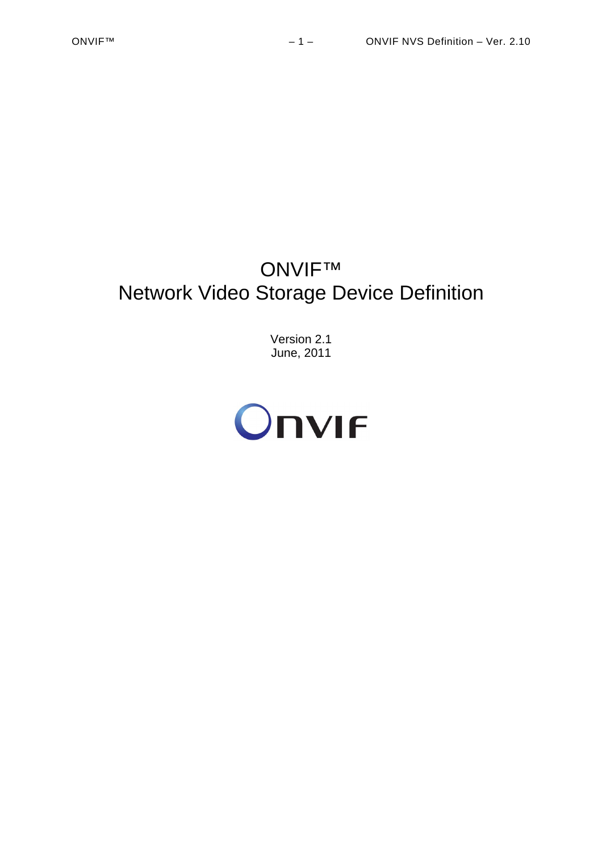# ONVIF™ Network Video Storage Device Definition

Version 2.1 June, 2011

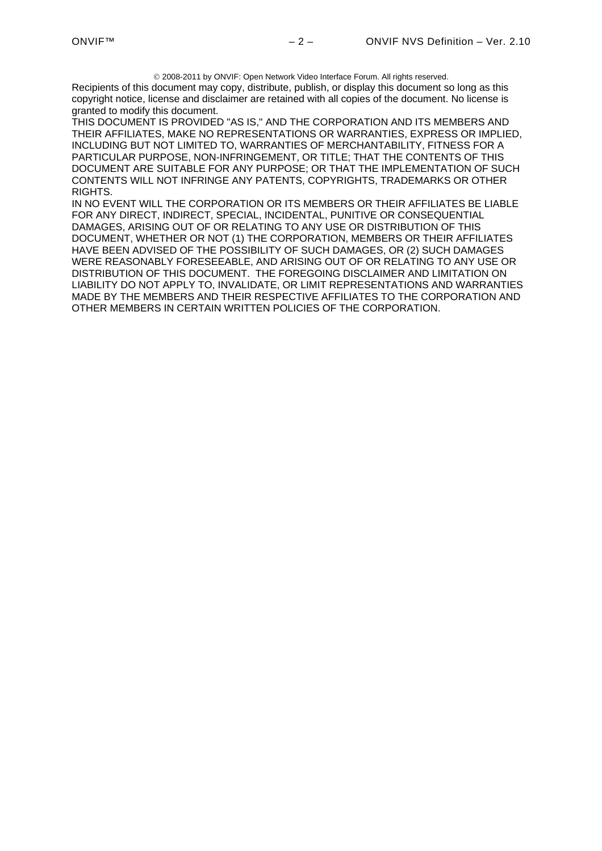2008-2011 by ONVIF: Open Network Video Interface Forum. All rights reserved.

Recipients of this document may copy, distribute, publish, or display this document so long as this copyright notice, license and disclaimer are retained with all copies of the document. No license is granted to modify this document.

THIS DOCUMENT IS PROVIDED "AS IS," AND THE CORPORATION AND ITS MEMBERS AND THEIR AFFILIATES, MAKE NO REPRESENTATIONS OR WARRANTIES, EXPRESS OR IMPLIED, INCLUDING BUT NOT LIMITED TO, WARRANTIES OF MERCHANTABILITY, FITNESS FOR A PARTICULAR PURPOSE, NON-INFRINGEMENT, OR TITLE; THAT THE CONTENTS OF THIS DOCUMENT ARE SUITABLE FOR ANY PURPOSE; OR THAT THE IMPLEMENTATION OF SUCH CONTENTS WILL NOT INFRINGE ANY PATENTS, COPYRIGHTS, TRADEMARKS OR OTHER RIGHTS.

IN NO EVENT WILL THE CORPORATION OR ITS MEMBERS OR THEIR AFFILIATES BE LIABLE FOR ANY DIRECT, INDIRECT, SPECIAL, INCIDENTAL, PUNITIVE OR CONSEQUENTIAL DAMAGES, ARISING OUT OF OR RELATING TO ANY USE OR DISTRIBUTION OF THIS DOCUMENT, WHETHER OR NOT (1) THE CORPORATION, MEMBERS OR THEIR AFFILIATES HAVE BEEN ADVISED OF THE POSSIBILITY OF SUCH DAMAGES, OR (2) SUCH DAMAGES WERE REASONABLY FORESEEABLE, AND ARISING OUT OF OR RELATING TO ANY USE OR DISTRIBUTION OF THIS DOCUMENT. THE FOREGOING DISCLAIMER AND LIMITATION ON LIABILITY DO NOT APPLY TO, INVALIDATE, OR LIMIT REPRESENTATIONS AND WARRANTIES MADE BY THE MEMBERS AND THEIR RESPECTIVE AFFILIATES TO THE CORPORATION AND OTHER MEMBERS IN CERTAIN WRITTEN POLICIES OF THE CORPORATION.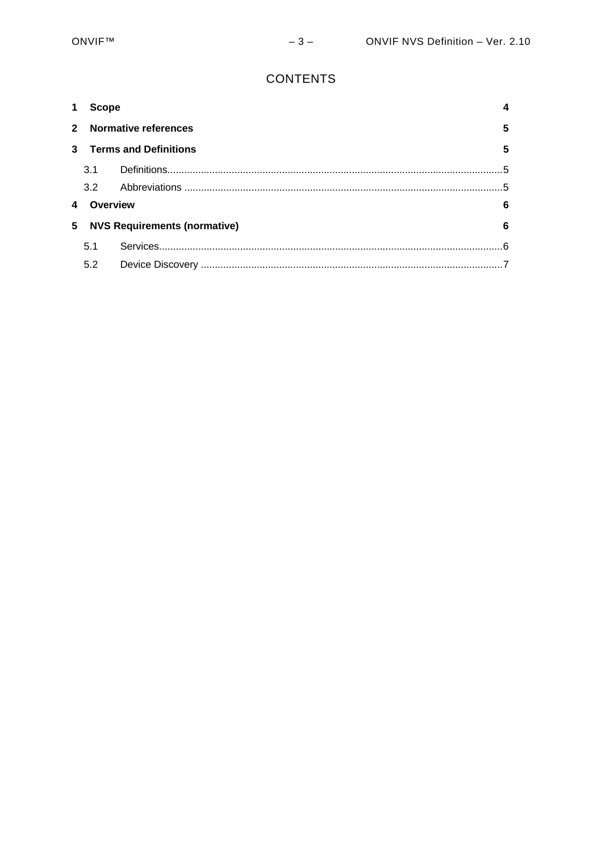# **CONTENTS**

|             | <b>Scope</b>                             |  |                |
|-------------|------------------------------------------|--|----------------|
| $2^{\circ}$ | <b>Normative references</b>              |  | $5\phantom{1}$ |
| 3           | <b>Terms and Definitions</b>             |  | 5              |
|             | 3.1                                      |  | 5              |
|             | 3.2                                      |  |                |
|             | Overview                                 |  | 6              |
| 5           | <b>NVS Requirements (normative)</b><br>6 |  |                |
|             | 5.1                                      |  | $\epsilon$     |
|             | 5.2                                      |  |                |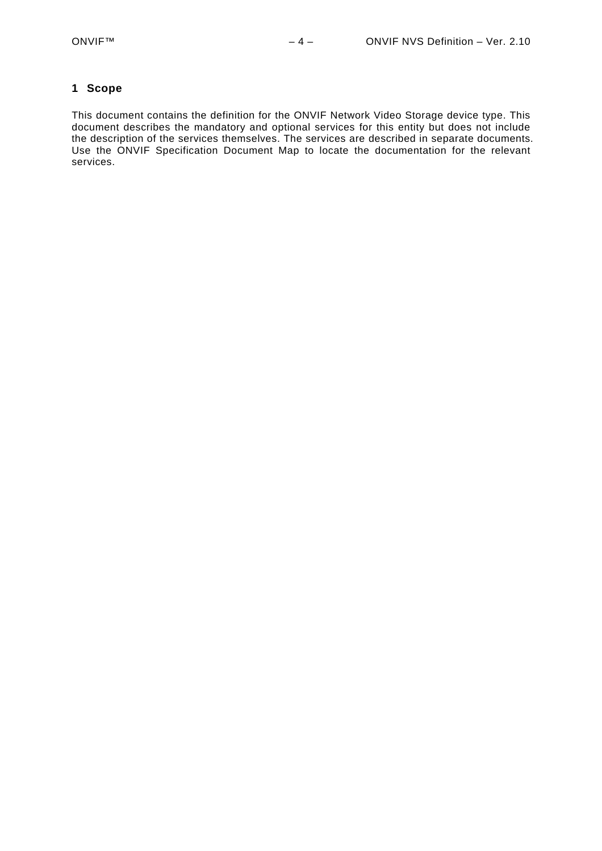#### <span id="page-3-0"></span>**1 Scope**

This document contains the definition for the ONVIF Network Video Storage device type. This document describes the mandatory and optional services for this entity but does not include the description of the services themselves. The services are described in separate documents. Use the ONVIF Specification Document Map to locate the documentation for the relevant services.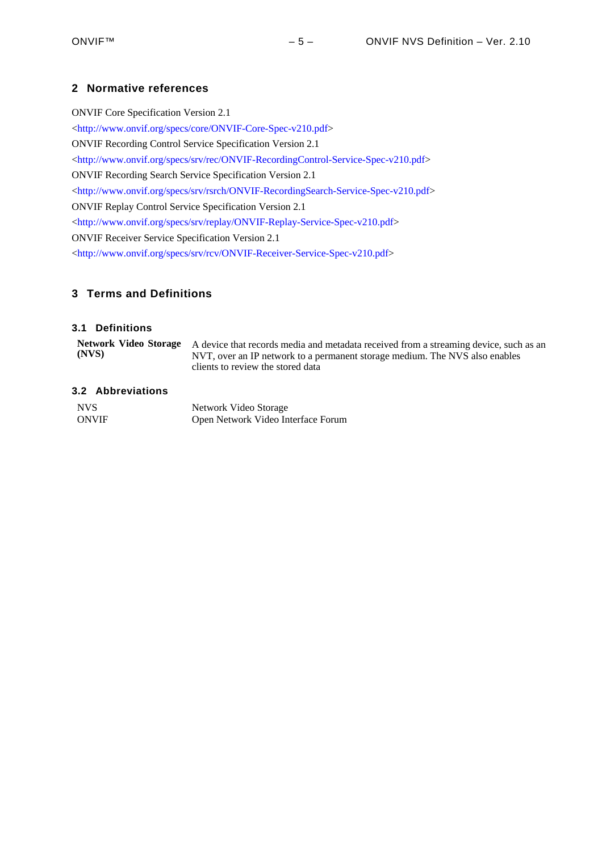# <span id="page-4-0"></span>**2 Normative references**

ONVIF Core Specification Version 2.1 <<http://www.onvif.org/specs/core/ONVIF-Core-Spec-v210.pdf>> ONVIF Recording Control Service Specification Version 2.1 <<http://www.onvif.org/specs/srv/rec/ONVIF-RecordingControl-Service-Spec-v210.pdf>> ONVIF Recording Search Service Specification Version 2.1 <[http://www.onvif.org/specs/srv/rsrch/ONVIF-RecordingSearch-Service-Spec-v210.pdf>](http://www.onvif.org/specs/srv/rsrch/ONVIF-RecordingSearch-Service-Spec-v210.pdf) ONVIF Replay Control Service Specification Version 2.1 <[http://www.onvif.org/specs/srv/replay/ONVIF-Replay-Service-Spec-v210.pdf>](http://www.onvif.org/specs/srv/replay/ONVIF-Replay-Service-Spec-v210.pdf) ONVIF Receiver Service Specification Version 2.1 <[http://www.onvif.org/specs/srv/rcv/ONVIF-Receiver-Service-Spec-v210.pdf>](http://www.onvif.org/specs/srv/rcv/ONVIF-Receiver-Service-Spec-v210.pdf)

# <span id="page-4-1"></span>**3 Terms and Definitions**

### <span id="page-4-2"></span>**3.1 Definitions**

| (NVS) | Network Video Storage A device that records media and metadata received from a streaming device, such as an<br>NVT, over an IP network to a permanent storage medium. The NVS also enables<br>clients to review the stored data |
|-------|---------------------------------------------------------------------------------------------------------------------------------------------------------------------------------------------------------------------------------|
|       |                                                                                                                                                                                                                                 |

#### <span id="page-4-3"></span>**3.2 Abbreviations**

| NVS <sub>1</sub> | Network Video Storage              |
|------------------|------------------------------------|
| <b>ONVIF</b>     | Open Network Video Interface Forum |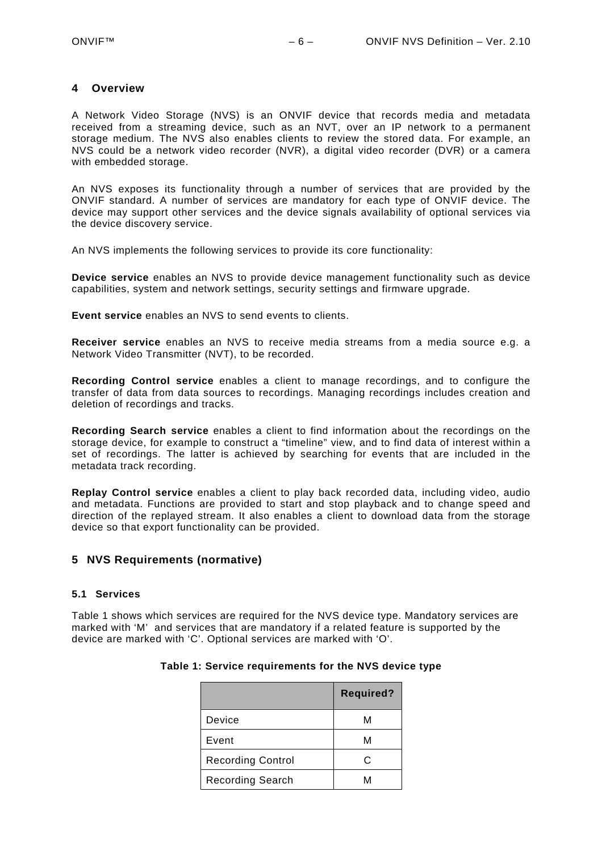#### <span id="page-5-0"></span>**4 Overview**

A Network Video Storage (NVS) is an ONVIF device that records media and metadata received from a streaming device, such as an NVT, over an IP network to a permanent storage medium. The NVS also enables clients to review the stored data. For example, an NVS could be a network video recorder (NVR), a digital video recorder (DVR) or a camera with embedded storage.

An NVS exposes its functionality through a number of services that are provided by the ONVIF standard. A number of services are mandatory for each type of ONVIF device. The device may support other services and the device signals availability of optional services via the device discovery service.

An NVS implements the following services to provide its core functionality:

**Device service** enables an NVS to provide device management functionality such as device capabilities, system and network settings, security settings and firmware upgrade.

**Event service** enables an NVS to send events to clients.

**Receiver service** enables an NVS to receive media streams from a media source e.g. a Network Video Transmitter (NVT), to be recorded.

**Recording Control service** enables a client to manage recordings, and to configure the transfer of data from data sources to recordings. Managing recordings includes creation and deletion of recordings and tracks.

**Recording Search service** enables a client to find information about the recordings on the storage device, for example to construct a "timeline" view, and to find data of interest within a set of recordings. The latter is achieved by searching for events that are included in the metadata track recording.

**Replay Control service** enables a client to play back recorded data, including video, audio and metadata. Functions are provided to start and stop playback and to change speed and direction of the replayed stream. It also enables a client to download data from the storage device so that export functionality can be provided.

## <span id="page-5-1"></span>**5 NVS Requirements (normative)**

#### <span id="page-5-2"></span>**5.1 Services**

<span id="page-5-3"></span>[Table 1](#page-5-3) shows which services are required for the NVS device type. Mandatory services are marked with 'M' and services that are mandatory if a related feature is supported by the device are marked with 'C'. Optional services are marked with 'O'.

|                          | <b>Required?</b> |
|--------------------------|------------------|
| Device                   | м                |
| Event                    | м                |
| <b>Recording Control</b> | C.               |
| <b>Recording Search</b>  |                  |

#### **Table 1: Service requirements for the NVS device type**